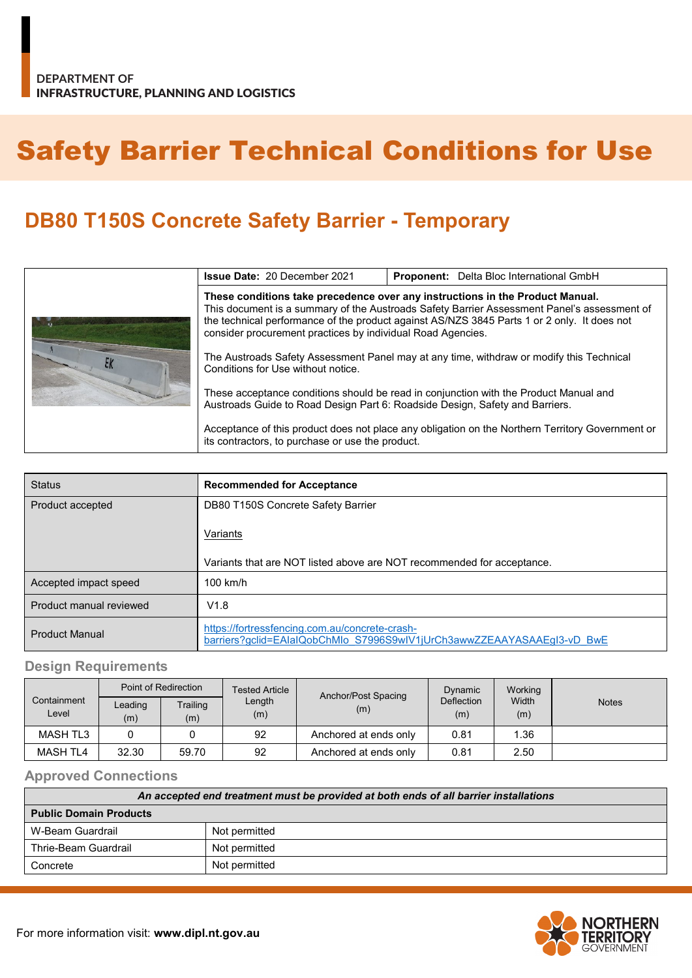# Safety Barrier Technical Conditions for Use

## **DB80 T150S Concrete Safety Barrier - Temporary**

|  | <b>Issue Date: 20 December 2021</b>                                                                                                                                                                                                                                                                                                        | <b>Proponent:</b> Delta Bloc International GmbH                                                  |  |
|--|--------------------------------------------------------------------------------------------------------------------------------------------------------------------------------------------------------------------------------------------------------------------------------------------------------------------------------------------|--------------------------------------------------------------------------------------------------|--|
|  | These conditions take precedence over any instructions in the Product Manual.<br>This document is a summary of the Austroads Safety Barrier Assessment Panel's assessment of<br>the technical performance of the product against AS/NZS 3845 Parts 1 or 2 only. It does not<br>consider procurement practices by individual Road Agencies. |                                                                                                  |  |
|  | The Austroads Safety Assessment Panel may at any time, withdraw or modify this Technical<br>Conditions for Use without notice.                                                                                                                                                                                                             |                                                                                                  |  |
|  | These acceptance conditions should be read in conjunction with the Product Manual and<br>Austroads Guide to Road Design Part 6: Roadside Design, Safety and Barriers.                                                                                                                                                                      |                                                                                                  |  |
|  | its contractors, to purchase or use the product.                                                                                                                                                                                                                                                                                           | Acceptance of this product does not place any obligation on the Northern Territory Government or |  |

| <b>Status</b>           | <b>Recommended for Acceptance</b>                                                                                        |
|-------------------------|--------------------------------------------------------------------------------------------------------------------------|
| Product accepted        | DB80 T150S Concrete Safety Barrier                                                                                       |
|                         | Variants                                                                                                                 |
|                         | Variants that are NOT listed above are NOT recommended for acceptance.                                                   |
| Accepted impact speed   | $100$ km/h                                                                                                               |
| Product manual reviewed | V1.8                                                                                                                     |
| <b>Product Manual</b>   | https://fortressfencing.com.au/concrete-crash-<br>barriers?gclid=EAIaIQobChMIo S7996S9wIV1jUrCh3awwZZEAAYASAAEgI3-vD BwE |

#### **Design Requirements**

|                      | Point of Redirection |                 | Tested Article | Anchor/Post Spacing   | Dynamic                  | Working      |              |
|----------------------|----------------------|-----------------|----------------|-----------------------|--------------------------|--------------|--------------|
| Containment<br>Level | Leading<br>(m)       | Trailing<br>(m) | Length<br>(m)  | (m)                   | <b>Deflection</b><br>(m) | Width<br>(m) | <b>Notes</b> |
| MASH TL3             |                      |                 | 92             | Anchored at ends only | 0.81                     | 1.36         |              |
| MASH TL4             | 32.30                | 59.70           | 92             | Anchored at ends only | 0.81                     | 2.50         |              |

#### **Approved Connections**

| An accepted end treatment must be provided at both ends of all barrier installations |               |  |  |
|--------------------------------------------------------------------------------------|---------------|--|--|
| <b>Public Domain Products</b>                                                        |               |  |  |
| W-Beam Guardrail                                                                     | Not permitted |  |  |
| Thrie-Beam Guardrail                                                                 | Not permitted |  |  |
| Concrete                                                                             | Not permitted |  |  |